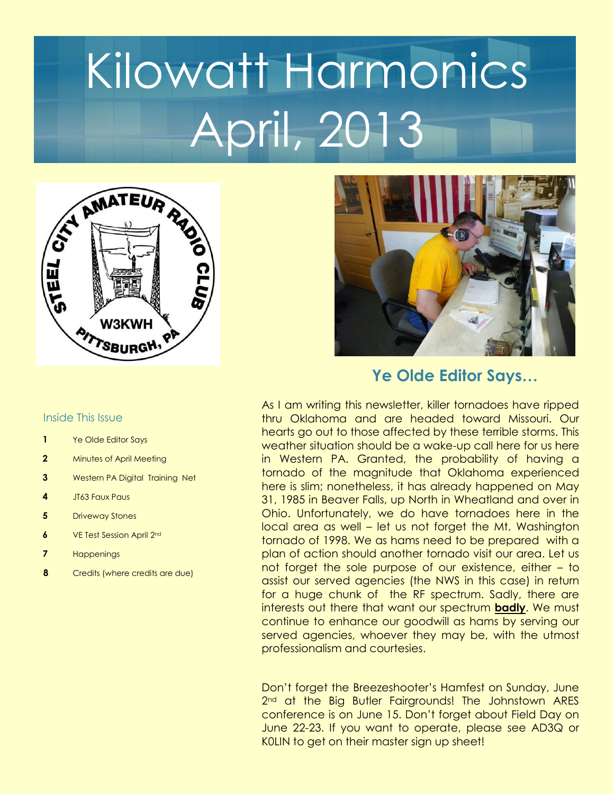# Kilowatt Harmonics April, 2013



#### Inside This Issue

- **1** Ye Olde Editor Says
- **2** Minutes of April Meeting
- **3** Western PA Digital Training Net
- **4** JT63 Faux Paus
- **5** Driveway Stones
- **6** VE Test Session April 2nd
- **7** Happenings
- **8** Credits (where credits are due)



## **Ye Olde Editor Says…**

As I am writing this newsletter, killer tornadoes have ripped thru Oklahoma and are headed toward Missouri. Our hearts go out to those affected by these terrible storms. This weather situation should be a wake-up call here for us here in Western PA. Granted, the probability of having a tornado of the magnitude that Oklahoma experienced here is slim; nonetheless, it has already happened on May 31, 1985 in Beaver Falls, up North in Wheatland and over in Ohio. Unfortunately, we do have tornadoes here in the local area as well – let us not forget the Mt. Washington tornado of 1998. We as hams need to be prepared with a plan of action should another tornado visit our area. Let us not forget the sole purpose of our existence, either – to assist our served agencies (the NWS in this case) in return for a huge chunk of the RF spectrum. Sadly, there are interests out there that want our spectrum **badly**. We must continue to enhance our goodwill as hams by serving our served agencies, whoever they may be, with the utmost professionalism and courtesies.

Don't forget the Breezeshooter's Hamfest on Sunday, June 2<sup>nd</sup> at the Big Butler Fairgrounds! The Johnstown ARES conference is on June 15. Don't forget about Field Day on June 22-23. If you want to operate, please see AD3Q or K0LIN to get on their master sign up sheet!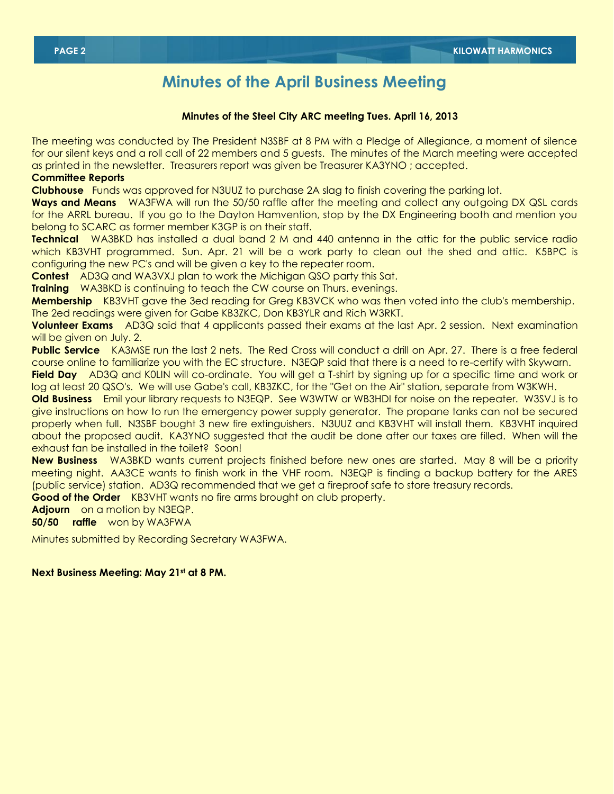## **Minutes of the April Business Meeting**

#### **Minutes of the Steel City ARC meeting Tues. April 16, 2013**

The meeting was conducted by The President N3SBF at 8 PM with a Pledge of Allegiance, a moment of silence for our silent keys and a roll call of 22 members and 5 guests. The minutes of the March meeting were accepted as printed in the newsletter. Treasurers report was given be Treasurer KA3YNO ; accepted.

#### **Committee Reports**

**Clubhouse** Funds was approved for N3UUZ to purchase 2A slag to finish covering the parking lot.

**Ways and Means** WA3FWA will run the 50/50 raffle after the meeting and collect any outgoing DX QSL cards for the ARRL bureau. If you go to the Dayton Hamvention, stop by the DX Engineering booth and mention you belong to SCARC as former member K3GP is on their staff.

**Technical** WA3BKD has installed a dual band 2 M and 440 antenna in the attic for the public service radio which KB3VHT programmed. Sun. Apr. 21 will be a work party to clean out the shed and attic. K5BPC is configuring the new PC's and will be given a key to the repeater room.

**Contest** AD3Q and WA3VXJ plan to work the Michigan QSO party this Sat.

**Training** WA3BKD is continuing to teach the CW course on Thurs. evenings.

**Membership** KB3VHT gave the 3ed reading for Greg KB3VCK who was then voted into the club's membership. The 2ed readings were given for Gabe KB3ZKC, Don KB3YLR and Rich W3RKT.

**Volunteer Exams** AD3Q said that 4 applicants passed their exams at the last Apr. 2 session. Next examination will be given on July. 2.

**Public Service** KA3MSE run the last 2 nets. The Red Cross will conduct a drill on Apr. 27. There is a free federal course online to familiarize you with the EC structure. N3EQP said that there is a need to re-certify with Skywarn. **Field Day** AD3Q and K0LIN will co-ordinate. You will get a T-shirt by signing up for a specific time and work or

log at least 20 QSO's. We will use Gabe's call, KB3ZKC, for the "Get on the Air" station, separate from W3KWH.

**Old Business** Emil your library requests to N3EQP. See W3WTW or WB3HDI for noise on the repeater. W3SVJ is to give instructions on how to run the emergency power supply generator. The propane tanks can not be secured properly when full. N3SBF bought 3 new fire extinguishers. N3UUZ and KB3VHT will install them. KB3VHT inquired about the proposed audit. KA3YNO suggested that the audit be done after our taxes are filled. When will the exhaust fan be installed in the toilet? Soon!

**New Business** WA3BKD wants current projects finished before new ones are started. May 8 will be a priority meeting night. AA3CE wants to finish work in the VHF room. N3EQP is finding a backup battery for the ARES (public service) station. AD3Q recommended that we get a fireproof safe to store treasury records.

**Good of the Order** KB3VHT wants no fire arms brought on club property.

**Adjourn** on a motion by N3EQP.

**50/50 raffle** won by WA3FWA

Minutes submitted by Recording Secretary WA3FWA.

#### **Next Business Meeting: May 21st at 8 PM.**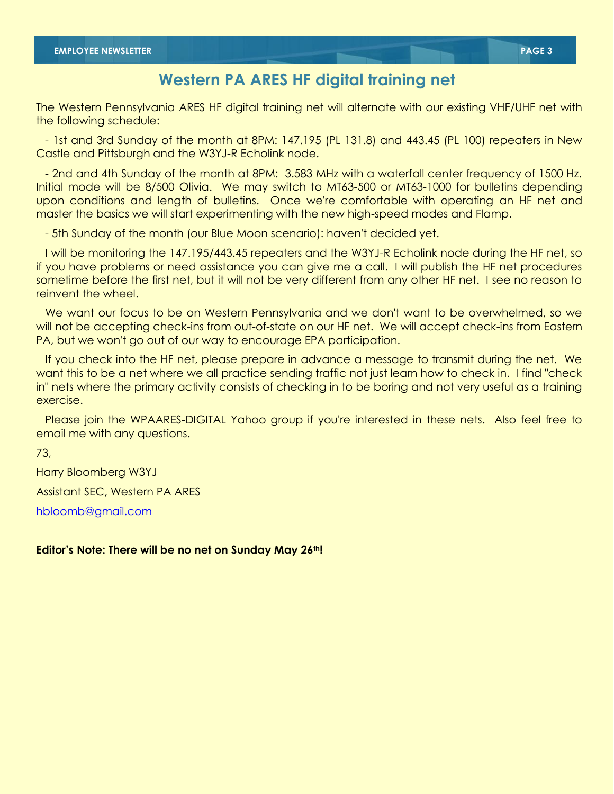## **Western PA ARES HF digital training net**

The Western Pennsylvania ARES HF digital training net will alternate with our existing VHF/UHF net with the following schedule:

 - 1st and 3rd Sunday of the month at 8PM: 147.195 (PL 131.8) and 443.45 (PL 100) repeaters in New Castle and Pittsburgh and the W3YJ-R Echolink node.

 - 2nd and 4th Sunday of the month at 8PM: 3.583 MHz with a waterfall center frequency of 1500 Hz. Initial mode will be 8/500 Olivia. We may switch to MT63-500 or MT63-1000 for bulletins depending upon conditions and length of bulletins. Once we're comfortable with operating an HF net and master the basics we will start experimenting with the new high-speed modes and Flamp.

- 5th Sunday of the month (our Blue Moon scenario): haven't decided yet.

 I will be monitoring the 147.195/443.45 repeaters and the W3YJ-R Echolink node during the HF net, so if you have problems or need assistance you can give me a call. I will publish the HF net procedures sometime before the first net, but it will not be very different from any other HF net. I see no reason to reinvent the wheel.

 We want our focus to be on Western Pennsylvania and we don't want to be overwhelmed, so we will not be accepting check-ins from out-of-state on our HF net. We will accept check-ins from Eastern PA, but we won't go out of our way to encourage EPA participation.

 If you check into the HF net, please prepare in advance a message to transmit during the net. We want this to be a net where we all practice sending traffic not just learn how to check in. I find "check in" nets where the primary activity consists of checking in to be boring and not very useful as a training exercise.

 Please join the WPAARES-DIGITAL Yahoo group if you're interested in these nets. Also feel free to email me with any questions.

73,

Harry Bloomberg W3YJ

Assistant SEC, Western PA ARES

[hbloomb@gmail.com](mailto:hbloomb@gmail.com)

**Editor's Note: There will be no net on Sunday May 26th!**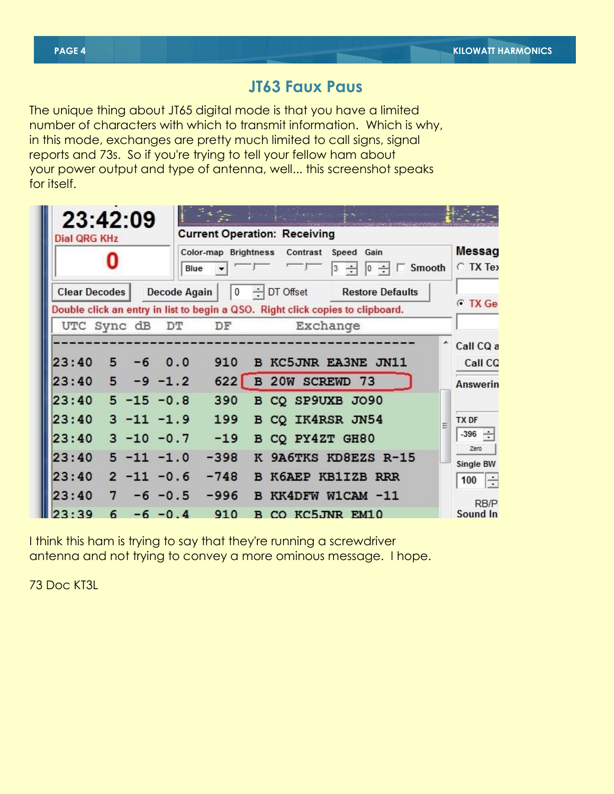## **JT63 Faux Paus**

The unique thing about JT65 digital mode is that you have a limited number of characters with which to transmit information. Which is why, in this mode, exchanges are pretty much limited to call signs, signal reports and 73s. So if you're trying to tell your fellow ham about your power output and type of antenna, well... this screenshot speaks for itself.

| 23:42:09             |                                  |                   | <b>Current Operation: Receiving</b>                                                   |                   |                                                                                |                         |                                  |
|----------------------|----------------------------------|-------------------|---------------------------------------------------------------------------------------|-------------------|--------------------------------------------------------------------------------|-------------------------|----------------------------------|
| <b>Dial QRG KHz</b>  |                                  |                   | Color-map Brightness<br>Contrast<br>Speed Gain<br>Smooth<br>$\div$<br>Blue<br>3<br>10 |                   |                                                                                |                         |                                  |
| <b>Clear Decodes</b> |                                  | Decode Again      | 0                                                                                     | $\div$ DT Offset  | Double click an entry in list to begin a QSO. Right click copies to clipboard. | <b>Restore Defaults</b> | <b>C</b> TX Ge                   |
|                      | UTC Sync dB                      | DT                | DF                                                                                    |                   | Exchange                                                                       |                         |                                  |
| 23:40<br>23:40       | 5<br>$-6$<br>5                   | 0.0<br>$-9 - 1.2$ | 910<br>622                                                                            |                   | <b>B KC5JNR EA3NE JN11</b><br><b>B 20W SCREWD 73</b>                           |                         | Call CQ a<br>Call CO<br>Answerin |
| 23:40<br>23:40       | $5 - 15 - 0.8$<br>$3 - 11 - 1.9$ |                   | 390<br>199                                                                            |                   | B CQ SP9UXB JO90<br>B CO IK4RSR JN54                                           |                         | TX DF<br>$-396 -$                |
| 23:40<br>23:40       | $3 - 10 - 0.7$<br>$5 - 11 - 1.0$ |                   | $-19$<br>$-398$                                                                       | $\mathbf{K}$      | B CQ PY4ZT GH80                                                                | 9A6TKS KD8EZS R-15      | Zero<br>Single BW                |
| 23:40<br>23:40       | $2 -11 -0.6$<br>7                | $-6 - 0.5$        | $-748$<br>$-996$                                                                      | <sub>R</sub><br>B | K6AEP KB1IZB RRR<br>KK4DFW W1CAM -11                                           |                         | $\div$<br>100<br>RB/P            |
| .39                  | 6                                | $-6 - 0.4$        | 910                                                                                   |                   | B CO KC5JNR EM10                                                               |                         | Sound In                         |

I think this ham is trying to say that they're running a screwdriver antenna and not trying to convey a more ominous message. I hope.

73 Doc KT3L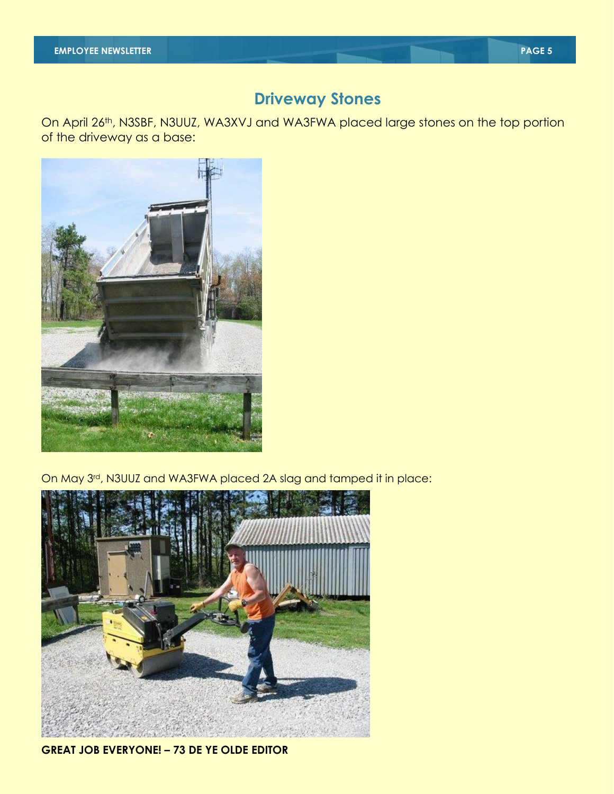## **Driveway Stones**

On April 26th, N3SBF, N3UUZ, WA3XVJ and WA3FWA placed large stones on the top portion of the driveway as a base:



On May 3rd, N3UUZ and WA3FWA placed 2A slag and tamped it in place:



### **GREAT JOB EVERYONE! – 73 DE YE OLDE EDITOR**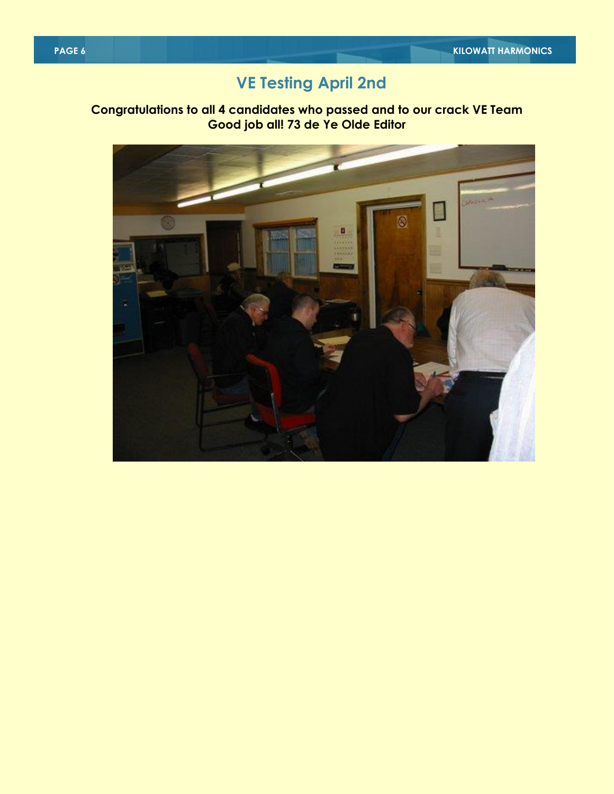## **VE Testing April 2nd**

### **Congratulations to all 4 candidates who passed and to our crack VE Team Good job all! 73 de Ye Olde Editor**

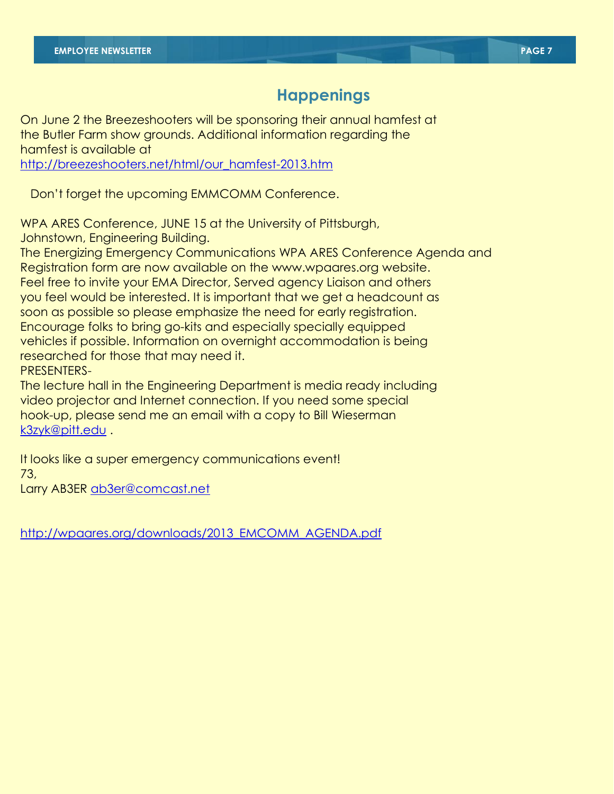## **Happenings**

On June 2 the Breezeshooters will be sponsoring their annual hamfest at the Butler Farm show grounds. Additional information regarding the hamfest is available at

[http://breezeshooters.net/html/our\\_hamfest-2013.htm](http://breezeshooters.net/html/our_hamfest-2013.htm)

Don't forget the upcoming EMMCOMM Conference.

WPA ARES Conference, JUNE 15 at the University of Pittsburgh, Johnstown, Engineering Building.

The Energizing Emergency Communications WPA ARES Conference Agenda and Registration form are now available on the www.wpaares.org website. Feel free to invite your EMA Director, Served agency Liaison and others you feel would be interested. It is important that we get a headcount as soon as possible so please emphasize the need for early registration. Encourage folks to bring go-kits and especially specially equipped vehicles if possible. Information on overnight accommodation is being researched for those that may need it. PRESENTERS-

The lecture hall in the Engineering Department is media ready including video projector and Internet connection. If you need some special hook-up, please send me an email with a copy to Bill Wieserman [k3zyk@pitt.edu](mailto:k3zyk@pitt.edu) .

It looks like a super emergency communications event! 73,

Larry AB3ER [ab3er@comcast.net](mailto:ab3er@comcast.net)

[http://wpaares.org/downloads/2013\\_EMCOMM\\_AGENDA.pdf](http://wpaares.org/downloads/2013_EMCOMM_AGENDA.pdf)